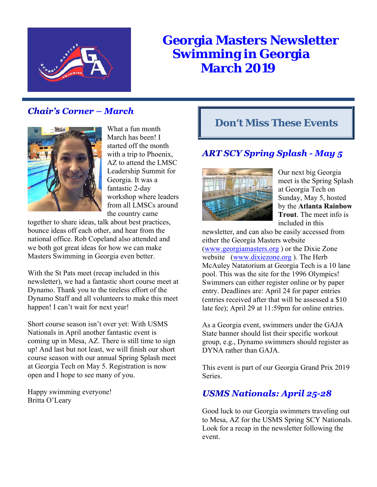

# **Georgia Masters Newsletter Swimming in Georgia March 2019**

## **Chair's Corner – March**



What a fun month March has been! I started off the month with a trip to Phoenix, AZ to attend the LMSC Leadership Summit for Georgia. It was a fantastic 2-day workshop where leaders from all LMSCs around the country came

together to share ideas, talk about best practices, bounce ideas off each other, and hear from the national office. Rob Copeland also attended and we both got great ideas for how we can make Masters Swimming in Georgia even better.

With the St Pats meet (recap included in this newsletter), we had a fantastic short course meet at Dynamo. Thank you to the tireless effort of the Dynamo Staff and all volunteers to make this meet happen! I can't wait for next year!

Short course season isn't over yet: With USMS Nationals in April another fantastic event is coming up in Mesa, AZ. There is still time to sign up! And last but not least, we will finish our short course season with our annual Spring Splash meet at Georgia Tech on May 5. Registration is now open and I hope to see many of you.

Happy swimming everyone! Britta O'Leary

## **Don't Miss These Events**

## **ART SCY Spring Splash - May 5**



Our next big Georgia meet is the Spring Splash at Georgia Tech on Sunday, May 5, hosted by the **Atlanta Rainbow Trout**. The meet info is included in this

newsletter, and can also be easily accessed from either the Georgia Masters website (www.georgiamasters.org ) or the Dixie Zone website (www.dixiezone.org ). The Herb McAuley Natatorium at Georgia Tech is a 10 lane pool. This was the site for the 1996 Olympics! Swimmers can either register online or by paper entry. Deadlines are: April 24 for paper entries (entries received after that will be assessed a \$10 late fee); April 29 at 11:59pm for online entries.

As a Georgia event, swimmers under the GAJA State banner should list their specific workout group, e.g., Dynamo swimmers should register as DYNA rather than GAJA.

This event is part of our Georgia Grand Prix 2019 Series.

## **USMS Nationals: April 25-28**

Good luck to our Georgia swimmers traveling out to Mesa, AZ for the USMS Spring SCY Nationals. Look for a recap in the newsletter following the event.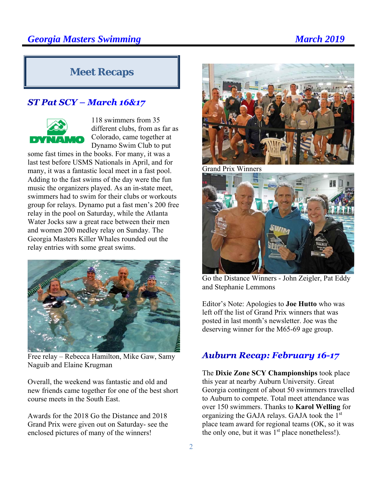## **Meet Recaps**

### ST Pat SCY - March 16&17



118 swimmers from 35 different clubs, from as far as Colorado, came together at Dynamo Swim Club to put

some fast times in the books. For many, it was a last test before USMS Nationals in April, and for many, it was a fantastic local meet in a fast pool. Adding to the fast swims of the day were the fun music the organizers played. As an in-state meet, swimmers had to swim for their clubs or workouts group for relays. Dynamo put a fast men's 200 free relay in the pool on Saturday, while the Atlanta Water Jocks saw a great race between their men and women 200 medley relay on Sunday. The Georgia Masters Killer Whales rounded out the relay entries with some great swims.



Free relay – Rebecca Hamilton, Mike Gaw, Samy Naguib and Elaine Krugman

Overall, the weekend was fantastic and old and new friends came together for one of the best short course meets in the South East.

Awards for the 2018 Go the Distance and 2018 Grand Prix were given out on Saturday- see the enclosed pictures of many of the winners!



Grand Prix Winners



Go the Distance Winners - John Zeigler, Pat Eddy and Stephanie Lemmons

Editor's Note: Apologies to **Joe Hutto** who was left off the list of Grand Prix winners that was posted in last month's newsletter. Joe was the deserving winner for the M65-69 age group.

#### **Auburn Recap: February 16-17**

The **Dixie Zone SCY Championships** took place this year at nearby Auburn University. Great Georgia contingent of about 50 swimmers travelled to Auburn to compete. Total meet attendance was over 150 swimmers. Thanks to **Karol Welling** for organizing the GAJA relays. GAJA took the 1st place team award for regional teams (OK, so it was the only one, but it was  $1<sup>st</sup>$  place nonetheless!).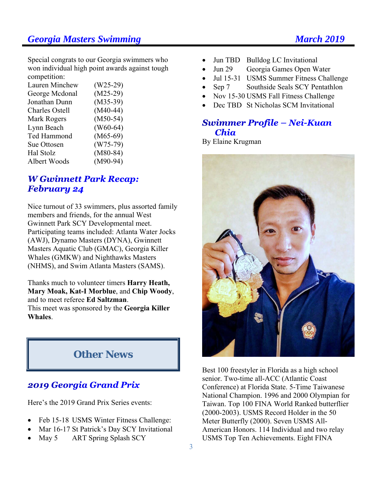### **Georgia Masters Swimming Community Community Community Community Community Community Community Community Community Community Community Community Community Community Community Community Community Community Community Commun**

Special congrats to our Georgia swimmers who won individual high point awards against tough competition:

| Lauren Minchew        | $(W25-29)$ |
|-----------------------|------------|
| George Mcdonal        | $(M25-29)$ |
| Jonathan Dunn         | $(M35-39)$ |
| <b>Charles Ostell</b> | $(M40-44)$ |
| Mark Rogers           | $(M50-54)$ |
| Lynn Beach            | $(W60-64)$ |
| Ted Hammond           | $(M65-69)$ |
| Sue Ottosen           | $(W75-79)$ |
| Hal Stolz             | $(M80-84)$ |
| Albert Woods          | $(M90-94)$ |
|                       |            |

#### **W Gwinnett Park Recap: February 24**

Nice turnout of 33 swimmers, plus assorted family members and friends, for the annual West Gwinnett Park SCY Developmental meet. Participating teams included: Atlanta Water Jocks (AWJ), Dynamo Masters (DYNA), Gwinnett Masters Aquatic Club (GMAC), Georgia Killer Whales (GMKW) and Nighthawks Masters (NHMS), and Swim Atlanta Masters (SAMS).

Thanks much to volunteer timers **Harry Heath, Mary Moak, Kat-I Morblue**, and **Chip Woody**, and to meet referee **Ed Saltzman**.

This meet was sponsored by the **Georgia Killer Whales**.

## **Other News**

### **2019 Georgia Grand Prix**

Here's the 2019 Grand Prix Series events:

- Feb 15-18 USMS Winter Fitness Challenge:
- Mar 16-17 St Patrick's Day SCY Invitational
- May 5 ART Spring Splash SCY
- Jun TBD Bulldog LC Invitational
- Jun 29 Georgia Games Open Water
- Jul 15-31 USMS Summer Fitness Challenge
- Sep 7 Southside Seals SCY Pentathlon
- Nov 15-30 USMS Fall Fitness Challenge
- Dec TBD St Nicholas SCM Invitational

#### Swimmer Profile – Nei-Kuan **Chia**

By Elaine Krugman



Best 100 freestyler in Florida as a high school senior. Two-time all-ACC (Atlantic Coast Conference) at Florida State. 5-Time Taiwanese National Champion. 1996 and 2000 Olympian for Taiwan. Top 100 FINA World Ranked butterflier (2000-2003). USMS Record Holder in the 50 Meter Butterfly (2000). Seven USMS All-American Honors. 114 Individual and two relay USMS Top Ten Achievements. Eight FINA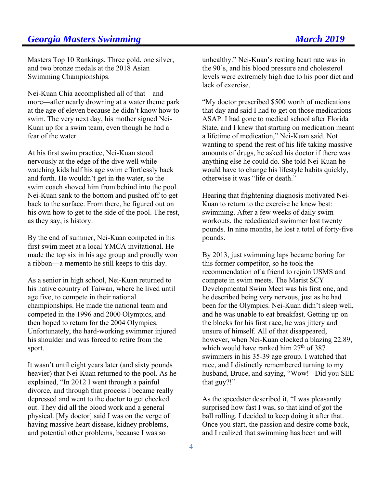## **Georgia Masters Swimming Construction Construction Construction Construction Construction Construction Construction Construction Construction Construction Construction Construction Construction Construction Construction C**

Masters Top 10 Rankings. Three gold, one silver, and two bronze medals at the 2018 Asian Swimming Championships.

Nei-Kuan Chia accomplished all of that—and more—after nearly drowning at a water theme park at the age of eleven because he didn't know how to swim. The very next day, his mother signed Nei-Kuan up for a swim team, even though he had a fear of the water.

At his first swim practice, Nei-Kuan stood nervously at the edge of the dive well while watching kids half his age swim effortlessly back and forth. He wouldn't get in the water, so the swim coach shoved him from behind into the pool. Nei-Kuan sank to the bottom and pushed off to get back to the surface. From there, he figured out on his own how to get to the side of the pool. The rest, as they say, is history.

By the end of summer, Nei-Kuan competed in his first swim meet at a local YMCA invitational. He made the top six in his age group and proudly won a ribbon—a memento he still keeps to this day.

As a senior in high school, Nei-Kuan returned to his native country of Taiwan, where he lived until age five, to compete in their national championships. He made the national team and competed in the 1996 and 2000 Olympics, and then hoped to return for the 2004 Olympics. Unfortunately, the hard-working swimmer injured his shoulder and was forced to retire from the sport.

It wasn't until eight years later (and sixty pounds heavier) that Nei-Kuan returned to the pool. As he explained, "In 2012 I went through a painful divorce, and through that process I became really depressed and went to the doctor to get checked out. They did all the blood work and a general physical. [My doctor] said I was on the verge of having massive heart disease, kidney problems, and potential other problems, because I was so

unhealthy." Nei-Kuan's resting heart rate was in the 90's, and his blood pressure and cholesterol levels were extremely high due to his poor diet and lack of exercise.

"My doctor prescribed \$500 worth of medications that day and said I had to get on those medications ASAP. I had gone to medical school after Florida State, and I knew that starting on medication meant a lifetime of medication," Nei-Kuan said. Not wanting to spend the rest of his life taking massive amounts of drugs, he asked his doctor if there was anything else he could do. She told Nei-Kuan he would have to change his lifestyle habits quickly, otherwise it was "life or death."

Hearing that frightening diagnosis motivated Nei-Kuan to return to the exercise he knew best: swimming. After a few weeks of daily swim workouts, the rededicated swimmer lost twenty pounds. In nine months, he lost a total of forty-five pounds.

By 2013, just swimming laps became boring for this former competitor, so he took the recommendation of a friend to rejoin USMS and compete in swim meets. The Marist SCY Developmental Swim Meet was his first one, and he described being very nervous, just as he had been for the Olympics. Nei-Kuan didn't sleep well, and he was unable to eat breakfast. Getting up on the blocks for his first race, he was jittery and unsure of himself. All of that disappeared, however, when Nei-Kuan clocked a blazing 22.89, which would have ranked him  $27<sup>th</sup>$  of 387 swimmers in his 35-39 age group. I watched that race, and I distinctly remembered turning to my husband, Bruce, and saying, "Wow! Did you SEE that guy?!"

As the speedster described it, "I was pleasantly surprised how fast I was, so that kind of got the ball rolling. I decided to keep doing it after that. Once you start, the passion and desire come back, and I realized that swimming has been and will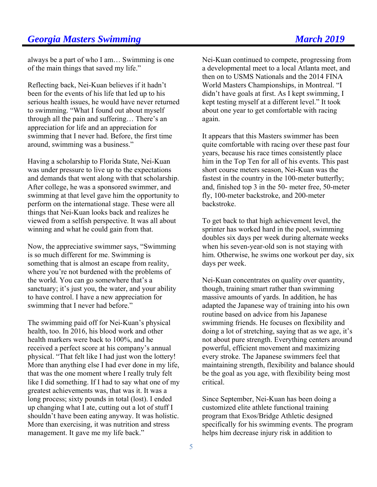always be a part of who I am… Swimming is one of the main things that saved my life."

Reflecting back, Nei-Kuan believes if it hadn't been for the events of his life that led up to his serious health issues, he would have never returned to swimming. "What I found out about myself through all the pain and suffering… There's an appreciation for life and an appreciation for swimming that I never had. Before, the first time around, swimming was a business."

Having a scholarship to Florida State, Nei-Kuan was under pressure to live up to the expectations and demands that went along with that scholarship. After college, he was a sponsored swimmer, and swimming at that level gave him the opportunity to perform on the international stage. These were all things that Nei-Kuan looks back and realizes he viewed from a selfish perspective. It was all about winning and what he could gain from that.

Now, the appreciative swimmer says, "Swimming is so much different for me. Swimming is something that is almost an escape from reality, where you're not burdened with the problems of the world. You can go somewhere that's a sanctuary; it's just you, the water, and your ability to have control. I have a new appreciation for swimming that I never had before."

The swimming paid off for Nei-Kuan's physical health, too. In 2016, his blood work and other health markers were back to 100%, and he received a perfect score at his company's annual physical. "That felt like I had just won the lottery! More than anything else I had ever done in my life, that was the one moment where I really truly felt like I did something. If I had to say what one of my greatest achievements was, that was it. It was a long process; sixty pounds in total (lost). I ended up changing what I ate, cutting out a lot of stuff I shouldn't have been eating anyway. It was holistic. More than exercising, it was nutrition and stress management. It gave me my life back."

Nei-Kuan continued to compete, progressing from a developmental meet to a local Atlanta meet, and then on to USMS Nationals and the 2014 FINA World Masters Championships, in Montreal. "I didn't have goals at first. As I kept swimming, I kept testing myself at a different level." It took about one year to get comfortable with racing again.

It appears that this Masters swimmer has been quite comfortable with racing over these past four years, because his race times consistently place him in the Top Ten for all of his events. This past short course meters season, Nei-Kuan was the fastest in the country in the 100-meter butterfly; and, finished top 3 in the 50- meter free, 50-meter fly, 100-meter backstroke, and 200-meter backstroke.

To get back to that high achievement level, the sprinter has worked hard in the pool, swimming doubles six days per week during alternate weeks when his seven-year-old son is not staying with him. Otherwise, he swims one workout per day, six days per week.

Nei-Kuan concentrates on quality over quantity, though, training smart rather than swimming massive amounts of yards. In addition, he has adapted the Japanese way of training into his own routine based on advice from his Japanese swimming friends. He focuses on flexibility and doing a lot of stretching, saying that as we age, it's not about pure strength. Everything centers around powerful, efficient movement and maximizing every stroke. The Japanese swimmers feel that maintaining strength, flexibility and balance should be the goal as you age, with flexibility being most critical.

Since September, Nei-Kuan has been doing a customized elite athlete functional training program that Exos/Bridge Athletic designed specifically for his swimming events. The program helps him decrease injury risk in addition to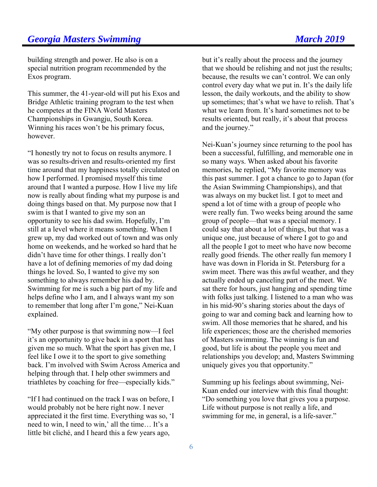building strength and power. He also is on a special nutrition program recommended by the Exos program.

This summer, the 41-year-old will put his Exos and Bridge Athletic training program to the test when he competes at the FINA World Masters Championships in Gwangju, South Korea. Winning his races won't be his primary focus, however.

"I honestly try not to focus on results anymore. I was so results-driven and results-oriented my first time around that my happiness totally circulated on how I performed. I promised myself this time around that I wanted a purpose. How I live my life now is really about finding what my purpose is and doing things based on that. My purpose now that I swim is that I wanted to give my son an opportunity to see his dad swim. Hopefully, I'm still at a level where it means something. When I grew up, my dad worked out of town and was only home on weekends, and he worked so hard that he didn't have time for other things. I really don't have a lot of defining memories of my dad doing things he loved. So, I wanted to give my son something to always remember his dad by. Swimming for me is such a big part of my life and helps define who I am, and I always want my son to remember that long after I'm gone," Nei-Kuan explained.

"My other purpose is that swimming now—I feel it's an opportunity to give back in a sport that has given me so much. What the sport has given me, I feel like I owe it to the sport to give something back. I'm involved with Swim Across America and helping through that. I help other swimmers and triathletes by coaching for free—especially kids."

"If I had continued on the track I was on before, I would probably not be here right now. I never appreciated it the first time. Everything was so, 'I need to win, I need to win,' all the time… It's a little bit cliché, and I heard this a few years ago,

but it's really about the process and the journey that we should be relishing and not just the results; because, the results we can't control. We can only control every day what we put in. It's the daily life lesson, the daily workouts, and the ability to show up sometimes; that's what we have to relish. That's what we learn from. It's hard sometimes not to be results oriented, but really, it's about that process and the journey."

Nei-Kuan's journey since returning to the pool has been a successful, fulfilling, and memorable one in so many ways. When asked about his favorite memories, he replied, "My favorite memory was this past summer. I got a chance to go to Japan (for the Asian Swimming Championships), and that was always on my bucket list. I got to meet and spend a lot of time with a group of people who were really fun. Two weeks being around the same group of people—that was a special memory. I could say that about a lot of things, but that was a unique one, just because of where I got to go and all the people I got to meet who have now become really good friends. The other really fun memory I have was down in Florida in St. Petersburg for a swim meet. There was this awful weather, and they actually ended up canceling part of the meet. We sat there for hours, just hanging and spending time with folks just talking. I listened to a man who was in his mid-90's sharing stories about the days of going to war and coming back and learning how to swim. All those memories that he shared, and his life experiences; those are the cherished memories of Masters swimming. The winning is fun and good, but life is about the people you meet and relationships you develop; and, Masters Swimming uniquely gives you that opportunity."

Summing up his feelings about swimming, Nei-Kuan ended our interview with this final thought: "Do something you love that gives you a purpose. Life without purpose is not really a life, and swimming for me, in general, is a life-saver."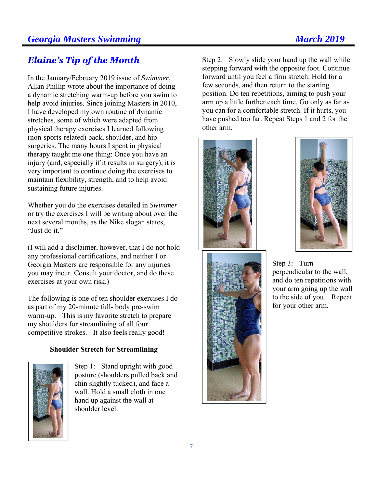## **Elaine's Tip of the Month**

In the January/February 2019 issue of *Swimmer*, Allan Phillip wrote about the importance of doing a dynamic stretching warm-up before you swim to help avoid injuries. Since joining Masters in 2010, I have developed my own routine of dynamic stretches, some of which were adapted from physical therapy exercises I learned following (non-sports-related) back, shoulder, and hip surgeries. The many hours I spent in physical therapy taught me one thing: Once you have an injury (and, especially if it results in surgery), it is very important to continue doing the exercises to maintain flexibility, strength, and to help avoid sustaining future injuries.

Whether you do the exercises detailed in *Swimmer*  or try the exercises I will be writing about over the next several months, as the Nike slogan states, "Just do it."

(I will add a disclaimer, however, that I do not hold any professional certifications, and neither I or Georgia Masters are responsible for any injuries you may incur. Consult your doctor, and do these exercises at your own risk.)

The following is one of ten shoulder exercises I do as part of my 20-minute full- body pre-swim warm-up. This is my favorite stretch to prepare my shoulders for streamlining of all four competitive strokes. It also feels really good!

#### **Shoulder Stretch for Streamlining**



Step 1: Stand upright with good posture (shoulders pulled back and chin slightly tucked), and face a wall. Hold a small cloth in one hand up against the wall at shoulder level.

Step 2: Slowly slide your hand up the wall while stepping forward with the opposite foot. Continue forward until you feel a firm stretch. Hold for a few seconds, and then return to the starting position. Do ten repetitions, aiming to push your arm up a little further each time. Go only as far as you can for a comfortable stretch. If it hurts, you have pushed too far. Repeat Steps 1 and 2 for the other arm.







Step 3: Turn perpendicular to the wall, and do ten repetitions with your arm going up the wall to the side of you. Repeat for your other arm.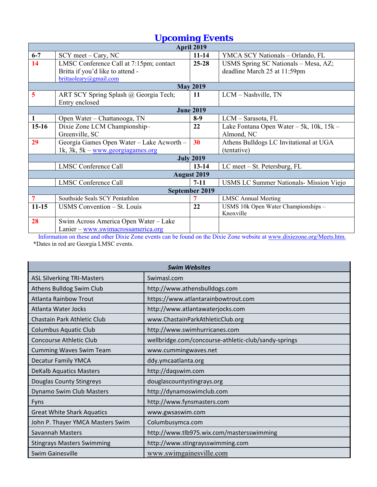| <b>Upcoming Events</b>  |                                            |                    |                                                |  |  |  |  |
|-------------------------|--------------------------------------------|--------------------|------------------------------------------------|--|--|--|--|
|                         | April 2019                                 |                    |                                                |  |  |  |  |
| $6 - 7$                 | $SCY$ meet – Cary, NC                      | $11 - 14$          | YMCA SCY Nationals - Orlando, FL               |  |  |  |  |
| 14                      | LMSC Conference Call at 7:15pm; contact    | $25 - 28$          | USMS Spring SC Nationals - Mesa, AZ;           |  |  |  |  |
|                         | Britta if you'd like to attend -           |                    | deadline March 25 at 11:59pm                   |  |  |  |  |
|                         | brittaoleary@gmail.com                     |                    |                                                |  |  |  |  |
|                         |                                            | <b>May 2019</b>    |                                                |  |  |  |  |
| $\overline{\mathbf{5}}$ | ART SCY Spring Splash @ Georgia Tech;      | 11                 | LCM - Nashville, TN                            |  |  |  |  |
|                         | Entry enclosed                             |                    |                                                |  |  |  |  |
|                         |                                            | <b>June 2019</b>   |                                                |  |  |  |  |
| $\mathbf{1}$            | Open Water - Chattanooga, TN               | $8-9$              | LCM - Sarasota, FL                             |  |  |  |  |
| $15-16$                 | Dixie Zone LCM Championship-               | 22                 | Lake Fontana Open Water - 5k, 10k, 15k -       |  |  |  |  |
|                         | Greenville, SC                             |                    | Almond, NC                                     |  |  |  |  |
| 29                      | Georgia Games Open Water - Lake Acworth -  | 30                 | Athens Bulldogs LC Invitational at UGA         |  |  |  |  |
|                         | 1k, 3k, $5k -$ <u>www.georgiagames.org</u> |                    | (tentative)                                    |  |  |  |  |
|                         |                                            | <b>July 2019</b>   |                                                |  |  |  |  |
|                         | <b>LMSC Conference Call</b>                | $13 - 14$          | LC meet – St. Petersburg, FL                   |  |  |  |  |
|                         |                                            | <b>August 2019</b> |                                                |  |  |  |  |
|                         | <b>LMSC Conference Call</b>                | $7-11$             | <b>USMS LC Summer Nationals- Mission Viejo</b> |  |  |  |  |
|                         | September 2019                             |                    |                                                |  |  |  |  |
| $\overline{7}$          | Southside Seals SCY Pentathlon             | 7                  | <b>LMSC Annual Meeting</b>                     |  |  |  |  |
| $11-15$                 | USMS Convention – St. Louis                | 22                 | USMS 10k Open Water Championships -            |  |  |  |  |
|                         |                                            |                    | Knoxville                                      |  |  |  |  |
| 28                      | Swim Across America Open Water - Lake      |                    |                                                |  |  |  |  |
|                         | Lanier - www.swimacrossamerica.org         |                    |                                                |  |  |  |  |

Information on these and other Dixie Zone events can be found on the Dixie Zone website at www.dixiezone.org/Meets.htm. \*Dates in red are Georgia LMSC events.

| <b>Swim Websites</b>              |                                                      |  |  |  |  |
|-----------------------------------|------------------------------------------------------|--|--|--|--|
| <b>ASL Silverking TRI-Masters</b> | Swimasl.com                                          |  |  |  |  |
| Athens Bulldog Swim Club          | http://www.athensbulldogs.com                        |  |  |  |  |
| <b>Atlanta Rainbow Trout</b>      | https://www.atlantarainbowtrout.com                  |  |  |  |  |
| Atlanta Water Jocks               | http://www.atlantawaterjocks.com                     |  |  |  |  |
| Chastain Park Athletic Club       | www.ChastainParkAthleticClub.org                     |  |  |  |  |
| <b>Columbus Aquatic Club</b>      | http://www.swimhurricanes.com                        |  |  |  |  |
| Concourse Athletic Club           | wellbridge.com/concourse-athletic-club/sandy-springs |  |  |  |  |
| <b>Cumming Waves Swim Team</b>    | www.cummingwaves.net                                 |  |  |  |  |
| <b>Decatur Family YMCA</b>        | ddy.ymcaatlanta.org                                  |  |  |  |  |
| <b>DeKalb Aquatics Masters</b>    | http://daqswim.com                                   |  |  |  |  |
| <b>Douglas County Stingreys</b>   | douglascountystingrays.org                           |  |  |  |  |
| Dynamo Swim Club Masters          | http://dynamoswimclub.com                            |  |  |  |  |
| Fyns                              | http://www.fynsmasters.com                           |  |  |  |  |
| <b>Great White Shark Aquatics</b> | www.gwsaswim.com                                     |  |  |  |  |
| John P. Thayer YMCA Masters Swim  | Columbusymca.com                                     |  |  |  |  |
| Savannah Masters                  | http://www.tlb975.wix.com/mastersswimming            |  |  |  |  |
| <b>Stingrays Masters Swimming</b> | http://www.stingraysswimming.com                     |  |  |  |  |
| <b>Swim Gainesville</b>           | www.swimgainesville.com                              |  |  |  |  |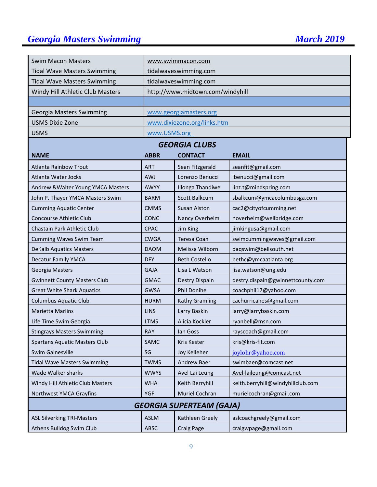## **Georgia Masters Swimming March 2019** March 2019

| <b>Swim Macon Masters</b>            |                                                     | www.swimmacon.com                             |                                   |  |  |  |
|--------------------------------------|-----------------------------------------------------|-----------------------------------------------|-----------------------------------|--|--|--|
| <b>Tidal Wave Masters Swimming</b>   |                                                     | tidalwaveswimming.com                         |                                   |  |  |  |
| <b>Tidal Wave Masters Swimming</b>   |                                                     | tidalwaveswimming.com                         |                                   |  |  |  |
| Windy Hill Athletic Club Masters     |                                                     | http://www.midtown.com/windyhill              |                                   |  |  |  |
|                                      |                                                     |                                               |                                   |  |  |  |
| Georgia Masters Swimming             |                                                     | www.georgiamasters.org                        |                                   |  |  |  |
| <b>USMS Dixie Zone</b>               |                                                     | www.dixiezone.org/links.htm                   |                                   |  |  |  |
| <b>USMS</b>                          | www.USMS.org                                        |                                               |                                   |  |  |  |
|                                      |                                                     | <b>GEORGIA CLUBS</b>                          |                                   |  |  |  |
| <b>NAME</b>                          | <b>ABBR</b>                                         | <b>CONTACT</b>                                | <b>EMAIL</b>                      |  |  |  |
| <b>Atlanta Rainbow Trout</b>         | <b>ART</b>                                          | Sean Fitzgerald                               | seanfit@gmail.com                 |  |  |  |
| <b>Atlanta Water Jocks</b>           | <b>AWJ</b>                                          | Lorenzo Benucci                               | lbenucci@gmail.com                |  |  |  |
| Andrew & Walter Young YMCA Masters   | AWYY                                                | Iilonga Thandiwe                              | linz.t@mindspring.com             |  |  |  |
| John P. Thayer YMCA Masters Swim     | <b>BARM</b>                                         | Scott Balkcum                                 | sbalkcum@ymcacolumbusga.com       |  |  |  |
| <b>Cumming Aquatic Center</b>        | <b>CMMS</b>                                         | Susan Alston                                  | cac2@cityofcumming.net            |  |  |  |
| Concourse Athletic Club              | <b>CONC</b>                                         | Nancy Overheim                                | noverheim@wellbridge.com          |  |  |  |
| Chastain Park Athletic Club          | jimkingusa@gmail.com<br><b>CPAC</b><br>Jim King     |                                               |                                   |  |  |  |
| <b>Cumming Waves Swim Team</b>       | <b>CWGA</b>                                         | Teresa Coan                                   | swimcummingwaves@gmail.com        |  |  |  |
| <b>DeKalb Aquatics Masters</b>       | <b>DAQM</b>                                         | Melissa Wilborn                               | daqswim@bellsouth.net             |  |  |  |
| <b>Decatur Family YMCA</b>           | <b>DFY</b>                                          | bethc@ymcaatlanta.org<br><b>Beth Costello</b> |                                   |  |  |  |
| Georgia Masters                      | Lisa L Watson<br>lisa.watson@ung.edu<br><b>GAJA</b> |                                               |                                   |  |  |  |
| <b>Gwinnett County Masters Club</b>  | <b>GMAC</b>                                         | Destry Dispain                                | destry.dispain@gwinnettcounty.com |  |  |  |
| <b>Great White Shark Aquatics</b>    | <b>GWSA</b>                                         | Phil Donihe                                   | coachphil17@yahoo.com             |  |  |  |
| <b>Columbus Aquatic Club</b>         | <b>HURM</b>                                         | <b>Kathy Gramling</b>                         | cachurricanes@gmail.com           |  |  |  |
| <b>Marietta Marlins</b>              | <b>LINS</b>                                         | Larry Baskin                                  | larry@larrybaskin.com             |  |  |  |
| Life Time Swim Georgia               | <b>LTMS</b>                                         | Alicia Kockler                                | ryanbell@msn.com                  |  |  |  |
| <b>Stingrays Masters Swimming</b>    | RAY                                                 | lan Goss                                      | rayscoach@gmail.com               |  |  |  |
| <b>Spartans Aquatic Masters Club</b> | SAMC                                                | Kris Kester                                   | kris@kris-fit.com                 |  |  |  |
| <b>Swim Gainesville</b>              | SG                                                  | Joy Kelleher                                  | joylohr@yahoo.com                 |  |  |  |
| <b>Tidal Wave Masters Swimming</b>   | <b>TWMS</b>                                         | Andrew Baer                                   | swimbaer@comcast.net              |  |  |  |
| Wade Walker sharks                   | <b>WWYS</b>                                         | Avel Lai Leung                                | Avel-laileung@comcast.net         |  |  |  |
| Windy Hill Athletic Club Masters     | <b>WHA</b>                                          | Keith Berryhill                               | keith.berryhill@windyhillclub.com |  |  |  |
| Northwest YMCA Grayfins              | murielcochran@gmail.com<br>YGF<br>Muriel Cochran    |                                               |                                   |  |  |  |
|                                      |                                                     | <b>GEORGIA SUPERTEAM (GAJA)</b>               |                                   |  |  |  |
| <b>ASL Silverking TRI-Masters</b>    | <b>ASLM</b>                                         | Kathleen Greely                               | aslcoachgreely@gmail.com          |  |  |  |
| Athens Bulldog Swim Club             | ABSC                                                | Craig Page                                    | craigwpage@gmail.com              |  |  |  |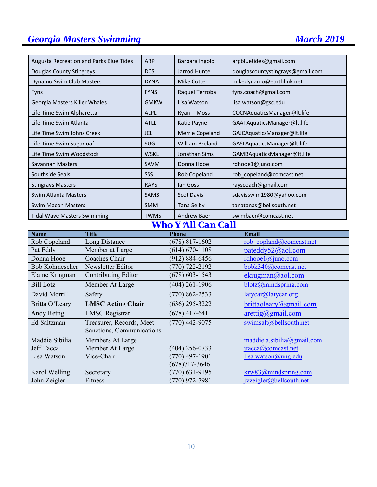## **Georgia Masters Swimming March 2019** March 2019

| Augusta Recreation and Parks Blue Tides | <b>ARP</b>  | Barbara Ingold         | arpbluetides@gmail.com           |
|-----------------------------------------|-------------|------------------------|----------------------------------|
| Douglas County Stingreys                | <b>DCS</b>  | Jarrod Hunte           | douglascountystingrays@gmail.com |
| Dynamo Swim Club Masters                | <b>DYNA</b> | <b>Mike Cotter</b>     | mikedynamo@earthlink.net         |
| <b>Fyns</b>                             | <b>FYNS</b> | Raquel Terroba         | fyns.coach@gmail.com             |
| Georgia Masters Killer Whales           | <b>GMKW</b> | Lisa Watson            | lisa.watson@gsc.edu              |
| Life Time Swim Alpharetta               | <b>ALPL</b> | Moss<br>Ryan           | COCNAquaticsManager@lt.life      |
| Life Time Swim Atlanta                  | <b>ATLL</b> | Katie Payne            | GAATAquaticsManager@lt.life      |
| Life Time Swim Johns Creek              | JCL         | Merrie Copeland        | GAJCAquaticsManager@lt.life      |
| Life Time Swim Sugarloaf                | <b>SUGL</b> | <b>William Breland</b> | GASLAquaticsManager@lt.life      |
| Life Time Swim Woodstock                | <b>WSKL</b> | Jonathan Sims          | GAMBAquaticsManager@lt.life      |
| Savannah Masters                        | <b>SAVM</b> | Donna Hooe             | rdhooe1@juno.com                 |
| Southside Seals                         | <b>SSS</b>  | Rob Copeland           | rob copeland@comcast.net         |
| <b>Stingrays Masters</b>                | <b>RAYS</b> | lan Goss               | rayscoach@gmail.com              |
| Swim Atlanta Masters                    | <b>SAMS</b> | <b>Scot Davis</b>      | sdavisswim1980@yahoo.com         |
| <b>Swim Macon Masters</b>               | <b>SMM</b>  | Tana Selby             | tanatanas@bellsouth.net          |
| <b>Tidal Wave Masters Swimming</b>      | <b>TWMS</b> | <b>Andrew Baer</b>     | swimbaer@comcast.net             |

## *Who Y*=*All Can Call*

| <b>Name</b>      | <b>Title</b>              | <b>Phone</b>       | Email                              |
|------------------|---------------------------|--------------------|------------------------------------|
| Rob Copeland     | Long Distance             | $(678)$ 817-1602   | rob copland@comcast.net            |
| Pat Eddy         | Member at Large           | $(614) 670 - 1108$ | pateddy52@aol.com                  |
| Donna Hooe       | Coaches Chair             | $(912) 884 - 6456$ | rdhooel $@$ juno.com               |
| Bob Kohmescher   | Newsletter Editor         | $(770)$ 722-2192   | bobk340@comcast.net                |
| Elaine Krugman   | Contributing Editor       | $(678) 603 - 1543$ | ekrugman@aol.com                   |
| <b>Bill Lotz</b> | Member At Large           | $(404)$ 261-1906   | blotz@mindspring.com               |
| David Morrill    | Safety                    | $(770) 862 - 2533$ | latycar@latycar.org                |
| Britta O'Leary   | <b>LMSC Acting Chair</b>  | $(636)$ 295-3222   | brittaoleary@gmail.com             |
| Andy Rettig      | <b>LMSC</b> Registrar     | $(678)$ 417-6411   | $\arcti\frac{g}{\omega}$ gmail.com |
| Ed Saltzman      | Treasurer, Records, Meet  | $(770)$ 442-9075   | swimsalt@bellsouth.net             |
|                  | Sanctions, Communications |                    |                                    |
| Maddie Sibilia   | Members At Large          |                    | maddie.a.sibilia@gmail.com         |
| Jeff Tacca       | Member At Large           | $(404)$ 256-0733   | $\text{itacca}(a)$ comcast.net     |
| Lisa Watson      | Vice-Chair                | $(770)$ 497-1901   | lisa.watson@ung.edu                |
|                  |                           | $(678)717 - 3646$  |                                    |
| Karol Welling    | Secretary                 | $(770)$ 631-9195   | krw83@mindspring.com               |
| John Zeigler     | Fitness                   | $(770)$ 972-7981   | ivzeigler@bellsouth.net            |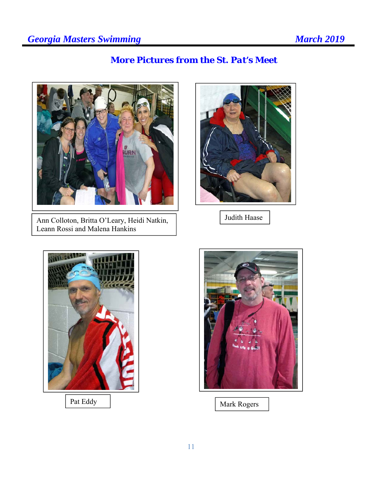## *More Pictures from the St. Pat's Meet*



Ann Colloton, Britta O'Leary, Heidi Natkin, Leann Rossi and Malena Hankins



Judith Haase





Pat Eddy Mark Rogers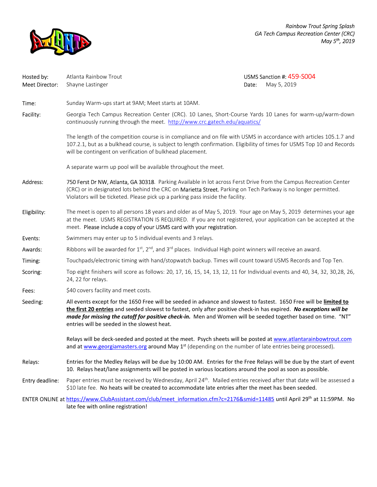

*Rainbow Trout Spring Splash GA Tech Campus Recreation Center (CRC) May 5th, 2019*

| Hosted by:<br>Meet Director: | Atlanta Rainbow Trout<br>Shayne Lastinger                                                                                                                                                                                                                                                                                                                                                                | Date: | USMS Sanction #: 459-S004<br>May 5, 2019 |  |  |  |  |
|------------------------------|----------------------------------------------------------------------------------------------------------------------------------------------------------------------------------------------------------------------------------------------------------------------------------------------------------------------------------------------------------------------------------------------------------|-------|------------------------------------------|--|--|--|--|
| Time:                        | Sunday Warm-ups start at 9AM; Meet starts at 10AM.                                                                                                                                                                                                                                                                                                                                                       |       |                                          |  |  |  |  |
| Facility:                    | Georgia Tech Campus Recreation Center (CRC). 10 Lanes, Short-Course Yards 10 Lanes for warm-up/warm-down<br>continuously running through the meet. http://www.crc.gatech.edu/aquatics/                                                                                                                                                                                                                   |       |                                          |  |  |  |  |
|                              | The length of the competition course is in compliance and on file with USMS in accordance with articles 105.1.7 and<br>107.2.1, but as a bulkhead course, is subject to length confirmation. Eligibility of times for USMS Top 10 and Records<br>will be contingent on verification of bulkhead placement.                                                                                               |       |                                          |  |  |  |  |
|                              | A separate warm up pool will be available throughout the meet.                                                                                                                                                                                                                                                                                                                                           |       |                                          |  |  |  |  |
| Address:                     | 750 Ferst Dr NW, Atlanta, GA 30318. Parking Available in lot across Ferst Drive from the Campus Recreation Center<br>(CRC) or in designated lots behind the CRC on Marietta Street. Parking on Tech Parkway is no longer permitted.<br>Violators will be ticketed. Please pick up a parking pass inside the facility.                                                                                    |       |                                          |  |  |  |  |
| Eligibility:                 | The meet is open to all persons 18 years and older as of May 5, 2019. Your age on May 5, 2019 determines your age<br>at the meet. USMS REGISTRATION IS REQUIRED. If you are not registered, your application can be accepted at the<br>meet. Please include a copy of your USMS card with your registration.                                                                                             |       |                                          |  |  |  |  |
| Events:                      | Swimmers may enter up to 5 individual events and 3 relays.                                                                                                                                                                                                                                                                                                                                               |       |                                          |  |  |  |  |
| Awards:                      | Ribbons will be awarded for $1^{st}$ , $2^{nd}$ , and $3^{rd}$ places. Individual High point winners will receive an award.                                                                                                                                                                                                                                                                              |       |                                          |  |  |  |  |
| Timing:                      | Touchpads/electronic timing with hand/stopwatch backup. Times will count toward USMS Records and Top Ten.                                                                                                                                                                                                                                                                                                |       |                                          |  |  |  |  |
| Scoring:                     | Top eight finishers will score as follows: 20, 17, 16, 15, 14, 13, 12, 11 for Individual events and 40, 34, 32, 30, 28, 26,<br>24, 22 for relays.                                                                                                                                                                                                                                                        |       |                                          |  |  |  |  |
| Fees:                        | \$40 covers facility and meet costs.                                                                                                                                                                                                                                                                                                                                                                     |       |                                          |  |  |  |  |
| Seeding:                     | All events except for the 1650 Free will be seeded in advance and slowest to fastest. 1650 Free will be limited to<br>the first 20 entries and seeded slowest to fastest, only after positive check-in has expired. No exceptions will be<br>made for missing the cutoff for positive check-in. Men and Women will be seeded together based on time. "NT"<br>entries will be seeded in the slowest heat. |       |                                          |  |  |  |  |
|                              | Relays will be deck-seeded and posted at the meet. Psych sheets will be posted at www.atlantarainbowtrout.com<br>and at www.georgiamasters.org around May 1 <sup>st</sup> (depending on the number of late entries being processed).                                                                                                                                                                     |       |                                          |  |  |  |  |
| Relays:                      | Entries for the Medley Relays will be due by 10:00 AM. Entries for the Free Relays will be due by the start of event<br>10. Relays heat/lane assignments will be posted in various locations around the pool as soon as possible.                                                                                                                                                                        |       |                                          |  |  |  |  |
| Entry deadline:              | Paper entries must be received by Wednesday, April 24 <sup>th</sup> . Mailed entries received after that date will be assessed a<br>\$10 late fee. No heats will be created to accommodate late entries after the meet has been seeded.                                                                                                                                                                  |       |                                          |  |  |  |  |
|                              | ENTER ONLINE at https://www.ClubAssistant.com/club/meet information.cfm?c=2176∣=11485 until April 29 <sup>th</sup> at 11:59PM. No<br>late fee with online registration!                                                                                                                                                                                                                                  |       |                                          |  |  |  |  |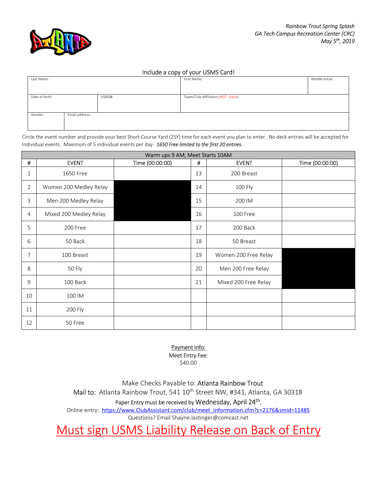

#### Include a copy of your USMS Card!

| Last Name:     |                |        | First Name:                       | Middle Initial: |
|----------------|----------------|--------|-----------------------------------|-----------------|
|                |                |        |                                   |                 |
| Date of birth: |                | USMS#: | Team/Club Affiliation (NOT GAJA): |                 |
|                |                |        |                                   |                 |
| Gender:        | Email address: |        |                                   |                 |
|                |                |        |                                   |                 |

Circle the event number and provide your best Short-Course Yard (25Y) time for each event you plan to enter. No deck entries will be accepted for Individual events. Maximum of 5 individual events per day. *1650 Free limited to the first 20 entries.* 

| Warm ups 9 AM; Meet Starts 10AM |                        |                 |    |                      |                 |  |  |
|---------------------------------|------------------------|-----------------|----|----------------------|-----------------|--|--|
| #                               | <b>EVENT</b>           | Time (00:00:00) | #  | <b>EVENT</b>         | Time (00:00:00) |  |  |
| 1                               | 1650 Free              |                 | 13 | 200 Breast           |                 |  |  |
| $\overline{2}$                  | Women 200 Medley Relay |                 | 14 | 100 Fly              |                 |  |  |
| 3                               | Men 200 Medley Relay   |                 | 15 | 200 IM               |                 |  |  |
| 4                               | Mixed 200 Medley Relay |                 | 16 | 100 Free             |                 |  |  |
| 5                               | 200 Free               |                 | 17 | 200 Back             |                 |  |  |
| 6                               | 50 Back                |                 | 18 | 50 Breast            |                 |  |  |
| 7                               | 100 Breast             |                 | 19 | Women 200 Free Relay |                 |  |  |
| 8                               | 50 Fly                 |                 | 20 | Men 200 Free Relay   |                 |  |  |
| 9                               | 100 Back               |                 | 21 | Mixed 200 Free Relay |                 |  |  |
| 10                              | 100 IM                 |                 |    |                      |                 |  |  |
| 11                              | 200 Fly                |                 |    |                      |                 |  |  |
| 12                              | 50 Free                |                 |    |                      |                 |  |  |

Payment Info: Meet Entry Fee:

\$40.00

Make Checks Payable to: Atlanta Rainbow Trout

Mail to: Atlanta Rainbow Trout, 541 10<sup>th</sup> Street NW, #341, Atlanta, GA 30318

Paper Entry must be received by Wednesday, April 24<sup>th</sup>.

Online entry: https://www.ClubAssistant.com/club/meet\_information.cfm?c=2176&smid=11485

Questions? Email Shayne.lastinger@comcast.net

Must sign USMS Liability Release on Back of Entry